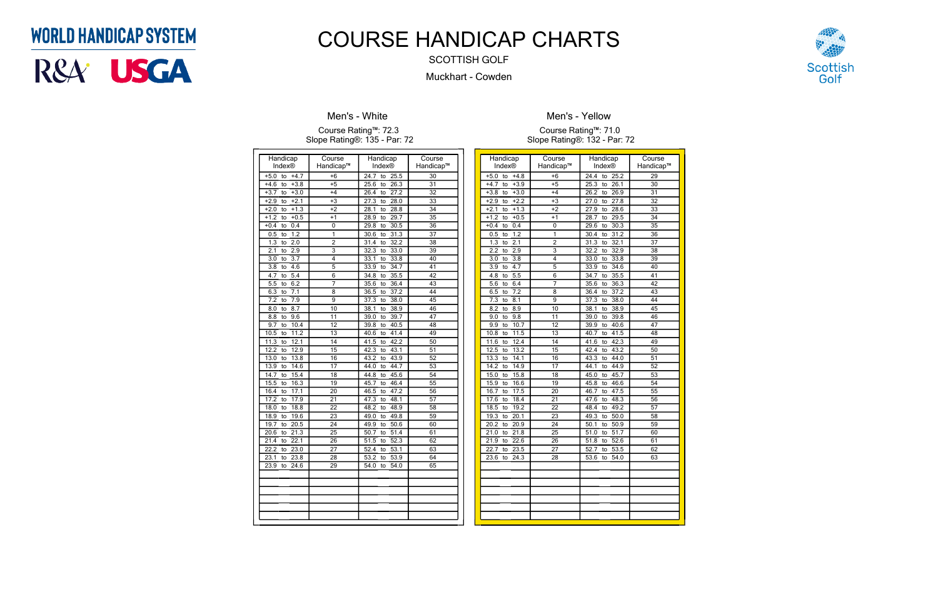| Handicap                       | Course          | Handicap                        | Course          |
|--------------------------------|-----------------|---------------------------------|-----------------|
| Index®                         | Handicap™       | Index®                          | Handicap™       |
| $+5.0$<br>$+4.7$<br>to         | $+6$            | 24.7<br>to<br>25.5              | 30              |
| $+3.8$<br>$+4.6$<br>to         | $+5$            | 25.6<br>26.3<br>to              | 31              |
| $+3.0$<br>$+3.7$<br>to         | $+4$            | 26.4<br>27.2<br>to              | 32              |
| $+2.1$<br>$+2.9$<br>to         | $+3$            | 27.3<br>28.0<br>to              | 33              |
| $+1.3$<br>$+2.0$<br>to         | $+2$            | 28.8<br>28.1<br>to              | 34              |
| $+0.5$<br>$+1.2$<br>to         | $+1$            | 29.7<br>28.9<br>to              | $\overline{35}$ |
| 0.4<br>$+0.4$<br>to            | $\mathbf{0}$    | 29.8<br>30.5<br>to              | 36              |
| 1.2<br>0.5<br>to               | 1               | 31.3<br>30.6<br>to              | 37              |
| 2.0<br>1.3<br>to               | $\overline{2}$  | 32.2<br>31.4<br>to              | 38              |
| 2.1<br>2.9<br>to               | 3               | 32.3<br>33.0<br>to              | 39              |
| $\overline{3.7}$<br>3.0<br>to  | 4               | 33.8<br>33.1<br>to              | 40              |
| 3.8<br>4.6<br>to               | $\overline{5}$  | 33.9<br>34.7<br>to              | $\overline{41}$ |
| 5.4<br>4.7<br>to               | 6               | 35.5<br>34.8<br>to              | 42              |
| 6.2<br>5.5<br>to               | $\overline{7}$  | 36.4<br>35.6<br>to              | 43              |
| 7.1<br>6.3<br>to               | 8               | 37.2<br>36.5<br>to              | 44              |
| 7.2<br>7.9<br>to               | $\overline{9}$  | 38.0<br>37.3<br>to              | 45              |
| 8.7<br>8.0<br>to               | 10              | 38.9<br>38.1<br>to              | 46              |
| 9.6<br>8.8<br>to               | 11              | 39.0<br>39.7<br>to              | 47              |
| 9.7<br>10.4<br>to              | $\overline{12}$ | 39.8<br>40.5<br>to              | 48              |
| 11.2<br>10.5<br>to             | 13              | 41.4<br>40.6<br>to              | 49              |
| 12.1<br>11.3<br>to             | 14              | 42.2<br>41.5<br>to              | 50              |
| 12.2<br>12.9<br>to             | $\overline{15}$ | 42.3<br>43.1<br>to              | 51              |
| 13.0<br>13.8<br>to             | 16              | 43.9<br>43.2<br>to              | 52              |
| 14.6<br>13.9<br>to             | 17              | 44.7<br>44.0<br>to              | $\overline{53}$ |
| 14.7<br>15.4<br>to             | 18              | 45.6<br>44.8<br>to              | 54              |
| 16.3<br>15.5<br>to             | 19              | 46.4<br>45.7<br>to              | $\overline{55}$ |
| 17.1<br>16.4<br>to             | 20              | 47.2<br>46.5<br>to              | 56              |
| 17.2<br>17.9<br>to             | 21              | 48.1<br>47.3<br>to              | 57              |
| 18.8<br>18.0<br>to             | 22              | 48.9<br>48.2<br>to              | 58              |
| 19.6<br>18.9<br>to             | 23              | 49.0<br>49.8<br>to              | $\overline{59}$ |
| $\frac{20.5}{ }$<br>19.7<br>to | 24              | 49.9<br>50.6<br>to              | 60              |
| 21.3<br>20.6<br>to             | 25              | 51.4<br>50.7<br>to              | 61              |
| 22.1<br>21.4<br>to             | 26              | 51.5<br>52.3<br>to              | 62              |
| 22.2<br>23.0<br>to             | 27              | 52.4<br>53.1<br>to              | 63              |
| 23.8<br>23.1<br>to             | $\overline{28}$ | $\overline{53.2}$<br>53.9<br>to | 64              |
| 23.9<br>24.6<br>to             | 29              | 54.0<br>54.0<br>to              | $\overline{65}$ |
|                                |                 |                                 |                 |
|                                |                 |                                 |                 |
|                                |                 |                                 |                 |
|                                |                 |                                 |                 |
|                                |                 |                                 |                 |
|                                |                 |                                 |                 |

### **Men's - White**

#### Course Rating™: 72.3 Slope Rating®: 135 - Par: 72

| Handicap<br>Index®            | Course<br>Handicap™       | Handicap<br>Index® | Course<br>Handicap™ |
|-------------------------------|---------------------------|--------------------|---------------------|
| $+4.8$<br>$+5.0$<br>to        | $+6$                      | 24.4<br>25.2<br>to | $\overline{29}$     |
| $+4.7$<br>$+3.9$<br>to        | $+5$                      | 25.3<br>26.1<br>to | 30                  |
| $+3.8$<br>$+3.0$<br>to        | $+4$                      | 26.2<br>26.9<br>to | 31                  |
| $+2.9$<br>$+2.2$<br>to        | $+3$                      | 27.0<br>27.8<br>to | 32                  |
| $+2.1$<br>$+1.3$<br>to        | $+2$                      | 27.9<br>28.6<br>to | 33                  |
| $+1.2$<br>$+0.5$<br>to        | $+1$                      | 28.7<br>29.5<br>to | 34                  |
| $+0.4$<br>0.4<br>to           | 0                         | 30.3<br>29.6<br>to | 35                  |
| 1.2<br>0.5<br>to              | 1                         | 31.2<br>30.4<br>to | 36                  |
| 1.3<br>2.1<br>to              | $\overline{2}$            | 31.3<br>32.1<br>to | 37                  |
| 2.2<br>2.9<br>to              | $\overline{\overline{3}}$ | 32.2<br>32.9<br>to | $\overline{38}$     |
| 3.0<br>$\overline{3.8}$<br>to | $\overline{4}$            | 33.0<br>33.8<br>to | 39                  |
| 4.7<br>3.9<br>to              | $\overline{5}$            | 34.6<br>33.9<br>to | 40                  |
| $\overline{5.5}$<br>4.8<br>to | 6                         | 35.5<br>34.7<br>to | 41                  |
| 5.6<br>6.4<br>to              | 7                         | 35.6<br>36.3<br>to | 42                  |
| $\overline{7.2}$<br>6.5<br>to | 8                         | 37.2<br>36.4<br>to | 43                  |
| 7.3<br>8.1<br>to              | 9                         | 37.3<br>38.0<br>to | 44                  |
| 8.2<br>8.9<br>to              | 10                        | 38.9<br>38.1<br>to | 45                  |
| 9.8<br>9.0<br>to              | 11                        | 39.8<br>39.0<br>to | 46                  |
| 10.7<br>9.9<br>to             | $\overline{12}$           | 39.9<br>40.6<br>to | 47                  |
| 11.5<br>10.8<br>to            | $\overline{13}$           | 41.5<br>40.7<br>to | 48                  |
| 12.4<br>11.6<br>to            | 14                        | 42.3<br>41.6<br>to | 49                  |
| 12.5<br>13.2<br>to            | 15                        | 43.2<br>42.4<br>to | 50                  |
| 13.3<br>14.1<br>to            | 16                        | 44.0<br>43.3<br>to | 51                  |
| 14.2<br>14.9<br>to            | 17                        | 44.9<br>44.1<br>to | 52                  |
| 15.0<br>15.8<br>to            | 18                        | 45.7<br>45.0<br>to | 53                  |
| 15.9<br>16.6<br>to            | 19                        | 46.6<br>45.8<br>to | 54                  |
| 16.7<br>17.5<br>to            | $\overline{20}$           | 46.7<br>47.5<br>to | 55                  |
| 17.6<br>18.4<br>to            | $\overline{21}$           | 48.3<br>47.6<br>to | 56                  |
| 19.2<br>18.5<br>to            | $\overline{22}$           | 49.2<br>48.4<br>to | 57                  |
| 19.3<br>20.1<br>to            | 23                        | 49.3<br>50.0<br>to | 58                  |
| 20.2<br>20.9<br>to            | 24                        | 50.1<br>50.9<br>to | 59                  |
| 21.8<br>21.0<br>to            | $\overline{25}$           | 51.7<br>51.0<br>to | 60                  |
| 22.6<br>21.9<br>to            | 26                        | 52.6<br>51.8<br>to | 61                  |
| 22.7<br>23.5<br>to            | $\overline{27}$           | 52.7<br>53.5<br>to | 62                  |
| 23.6<br>24.3<br>to            | 28                        | 54.0<br>53.6<br>to | 63                  |
|                               |                           |                    |                     |
|                               |                           |                    |                     |
|                               |                           |                    |                     |
|                               |                           |                    |                     |
|                               |                           |                    |                     |
|                               |                           |                    |                     |
|                               |                           |                    |                     |



**Men's - Yellow**

Course Rating™: 71.0 Slope Rating®: 132 - Par: 72

## **WORLD HANDICAP SYSTEM**



# COURSE HANDICAP CHARTS

SCOTTISH GOLF

Muckhart - Cowden